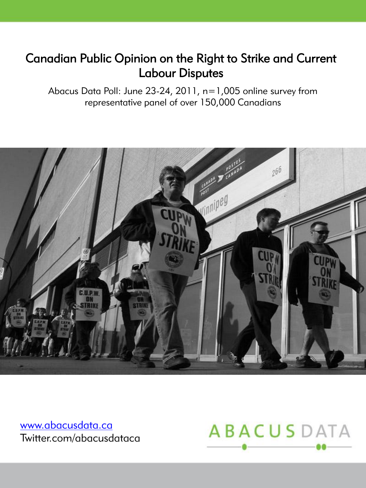# Canadian Public Opinion on the Right to Strike and Current Labour Disputes

Abacus Data Poll: June 23-24, 2011, n=1,005 online survey from representative panel of over 150,000 Canadians



[www.abacusdata.ca](http://www.abacusdata.ca/) Twitter.com/abacusdataca

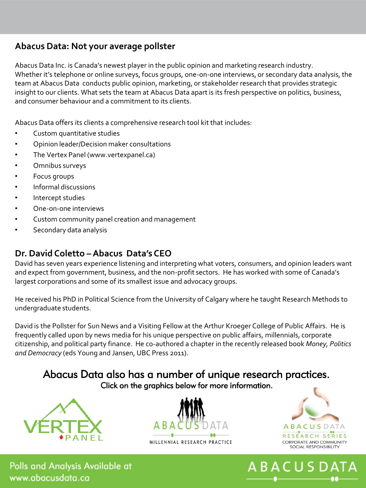### **Abacus Data: Not your average pollster**

Abacus Data Inc. is Canada's newest player in the public opinion and marketing research industry. Whether it's telephone or online surveys, focus groups, one-on-one interviews, or secondary data analysis, the team at Abacus Data conducts public opinion, marketing, or stakeholder research that provides strategic insight to our clients. What sets the team at Abacus Data apart is its fresh perspective on politics, business, and consumer behaviour and a commitment to its clients.

Abacus Data offers its clients a comprehensive research tool kit that includes:

- Custom quantitative studies
- Opinion leader/Decision maker consultations
- The Vertex Panel (www.vertexpanel.ca)
- Omnibus surveys
- Focus groups
- Informal discussions
- Intercept studies
- One-on-one interviews
- Custom community panel creation and management
- Secondary data analysis

### **Dr. David Coletto –Abacus Data's CEO**

David has seven years experience listening and interpreting what voters, consumers, and opinion leaders want and expect from government, business, and the non-profit sectors. He has worked with some of Canada's largest corporations and some of its smallest issue and advocacy groups.

He received his PhD in Political Science from the University of Calgary where he taught Research Methods to undergraduate students.

David is the Pollster for Sun News and a Visiting Fellow at the Arthur Kroeger College of Public Affairs. He is frequently called upon by news media for his unique perspective on public affairs, millennials, corporate citizenship, and political party finance. He co-authored a chapter in the recently released book *Money, Politics and Democracy* (eds Young and Jansen, UBC Press 2011).

### Abacus Data also has a number of unique research practices. [Clic](http://www.abacusdata.ca/vertex)k on the graphics below for more information.







**ABACUSD** 

Polls and Analysis Available at www.abacusdata.ca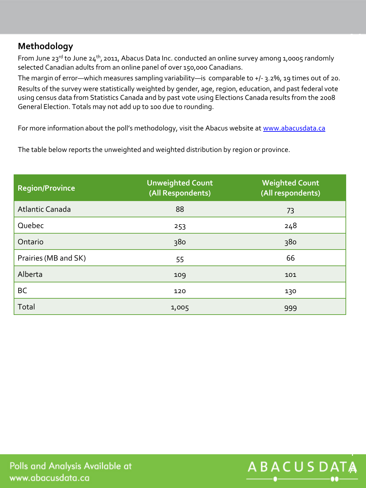## **Methodology**

From June 23<sup>rd</sup> to June 24<sup>th</sup>, 2011, Abacus Data Inc. conducted an online survey among 1,0005 randomly selected Canadian adults from an online panel of over 150,000 Canadians.

The margin of error—which measures sampling variability—is comparable to +/- 3.2%, 19 times out of 20. Results of the survey were statistically weighted by gender, age, region, education, and past federal vote using census data from Statistics Canada and by past vote using Elections Canada results from the 2008 General Election. Totals may not add up to 100 due to rounding.

For more information about the poll's methodology, visit the Abacus website at [www.abacusdata.ca](http://www.abacusdata.ca/)

The table below reports the unweighted and weighted distribution by region or province.

| <b>Region/Province</b> | <b>Unweighted Count</b><br>(All Respondents) | <b>Weighted Count</b><br>(All respondents) |
|------------------------|----------------------------------------------|--------------------------------------------|
| Atlantic Canada        | 88                                           | 73                                         |
| Quebec                 | 253                                          | 248                                        |
| Ontario                | 380                                          | 380                                        |
| Prairies (MB and SK)   | 55                                           | 66                                         |
| Alberta                | 109                                          | 101                                        |
| BC                     | 120                                          | 130                                        |
| Total                  | 1,005                                        | 999                                        |



M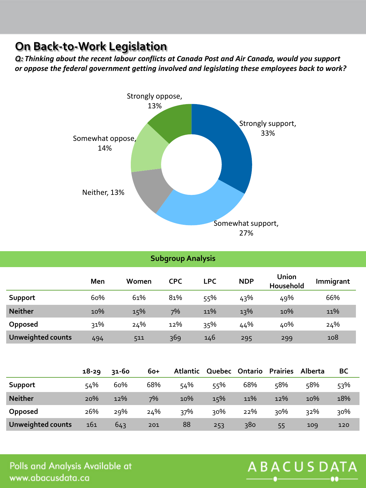## **On Back-to-Work Legislation**

*Q: Thinking about the recent labour conflicts at Canada Post and Air Canada, would you support or oppose the federal government getting involved and legislating these employees back to work?*



| <b>Subgroup Analysis</b> |     |       |            |            |            |                    |           |
|--------------------------|-----|-------|------------|------------|------------|--------------------|-----------|
|                          | Men | Women | <b>CPC</b> | <b>LPC</b> | <b>NDP</b> | Union<br>Household | Immigrant |
| Support                  | 60% | 61%   | 81%        | 55%        | 43%        | 49%                | 66%       |
| <b>Neither</b>           | 10% | 15%   | 7%         | 11%        | 13%        | 10%                | 11%       |
| Opposed                  | 31% | 24%   | 12%        | 35%        | 44%        | 40%                | 24%       |
| <b>Unweighted counts</b> | 494 | 511   | 369        | 146        | 295        | 299                | 108       |

|                          | $18 - 29$ | 31-60 | $60+$ | Atlantic | Quebec | Ontario | <b>Prairies</b> | Alberta | BC  |
|--------------------------|-----------|-------|-------|----------|--------|---------|-----------------|---------|-----|
| Support                  | 54%       | 60%   | 68%   | 54%      | 55%    | 68%     | 58%             | 58%     | 53% |
| <b>Neither</b>           | 20%       | 12%   | 7%    | 10%      | 15%    | 11%     | 12%             | 10%     | 18% |
| Opposed                  | 26%       | 29%   | 24%   | 37%      | २०%    | 22%     | 30%             | 32%     | 30% |
| <b>Unweighted counts</b> | 161       | 643   | 201   | 88       | 253    | 380     | 55              | 109     | 120 |

Polls and Analysis Available at www.abacusdata.ca

# ABACUSDATA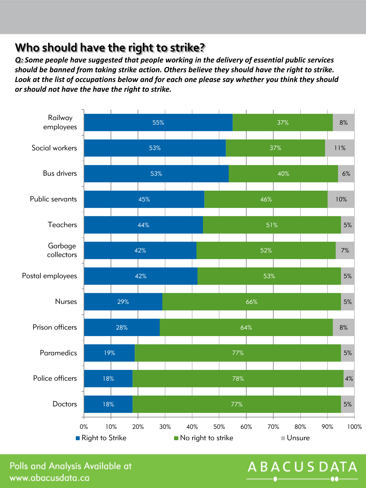## **Who should have the right to strike?**

*Q: Some people have suggested that people working in the delivery of essential public services should be banned from taking strike action. Others believe they should have the right to strike. Look at the list of occupations below and for each one please say whether you think they should or should not have the have the right to strike.*



Polls and Analysis Available at www.abacusdata.ca

# **ABACUSDATA**